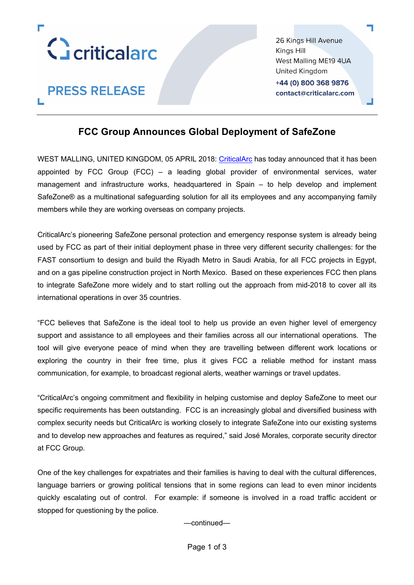

**PRESS RELEASE** 

26 Kings Hill Avenue Kinas Hill West Malling ME19 4UA United Kingdom +44 (0) 800 368 9876 contact@criticalarc.com

# **FCC Group Announces Global Deployment of SafeZone**

WEST MALLING, UNITED KINGDOM, 05 APRIL 2018: CriticalArc has today announced that it has been appointed by FCC Group (FCC) – a leading global provider of environmental services, water management and infrastructure works, headquartered in Spain – to help develop and implement SafeZone® as a multinational safeguarding solution for all its employees and any accompanying family members while they are working overseas on company projects.

CriticalArc's pioneering SafeZone personal protection and emergency response system is already being used by FCC as part of their initial deployment phase in three very different security challenges: for the FAST consortium to design and build the Riyadh Metro in Saudi Arabia, for all FCC projects in Egypt, and on a gas pipeline construction project in North Mexico. Based on these experiences FCC then plans to integrate SafeZone more widely and to start rolling out the approach from mid-2018 to cover all its international operations in over 35 countries.

"FCC believes that SafeZone is the ideal tool to help us provide an even higher level of emergency support and assistance to all employees and their families across all our international operations. The tool will give everyone peace of mind when they are travelling between different work locations or exploring the country in their free time, plus it gives FCC a reliable method for instant mass communication, for example, to broadcast regional alerts, weather warnings or travel updates.

"CriticalArc's ongoing commitment and flexibility in helping customise and deploy SafeZone to meet our specific requirements has been outstanding. FCC is an increasingly global and diversified business with complex security needs but CriticalArc is working closely to integrate SafeZone into our existing systems and to develop new approaches and features as required," said José Morales, corporate security director at FCC Group.

One of the key challenges for expatriates and their families is having to deal with the cultural differences, language barriers or growing political tensions that in some regions can lead to even minor incidents quickly escalating out of control. For example: if someone is involved in a road traffic accident or stopped for questioning by the police.

—continued—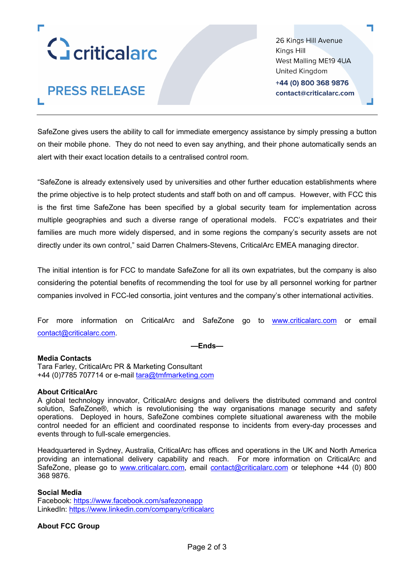

**PRESS RELEASE** 

26 Kings Hill Avenue Kinas Hill West Malling ME19 4UA United Kingdom +44 (0) 800 368 9876 contact@criticalarc.com

SafeZone gives users the ability to call for immediate emergency assistance by simply pressing a button on their mobile phone. They do not need to even say anything, and their phone automatically sends an alert with their exact location details to a centralised control room.

"SafeZone is already extensively used by universities and other further education establishments where the prime objective is to help protect students and staff both on and off campus. However, with FCC this is the first time SafeZone has been specified by a global security team for implementation across multiple geographies and such a diverse range of operational models. FCC's expatriates and their families are much more widely dispersed, and in some regions the company's security assets are not directly under its own control," said Darren Chalmers-Stevens, CriticalArc EMEA managing director.

The initial intention is for FCC to mandate SafeZone for all its own expatriates, but the company is also considering the potential benefits of recommending the tool for use by all personnel working for partner companies involved in FCC-led consortia, joint ventures and the company's other international activities.

For more information on CriticalArc and SafeZone go to www.criticalarc.com or email contact@criticalarc.com.

**—Ends—**

## **Media Contacts**

Tara Farley, CriticalArc PR & Marketing Consultant +44 (0)7785 707714 or e-mail tara@tmfmarketing.com

#### **About CriticalArc**

A global technology innovator, CriticalArc designs and delivers the distributed command and control solution, SafeZone®, which is revolutionising the way organisations manage security and safety operations. Deployed in hours, SafeZone combines complete situational awareness with the mobile control needed for an efficient and coordinated response to incidents from every-day processes and events through to full-scale emergencies.

Headquartered in Sydney, Australia, CriticalArc has offices and operations in the UK and North America providing an international delivery capability and reach. For more information on CriticalArc and SafeZone, please go to www.criticalarc.com, email contact@criticalarc.com or telephone +44 (0) 800 368 9876.

## **Social Media**

Facebook: https://www.facebook.com/safezoneapp LinkedIn: https://www.linkedin.com/company/criticalarc

## **About FCC Group**